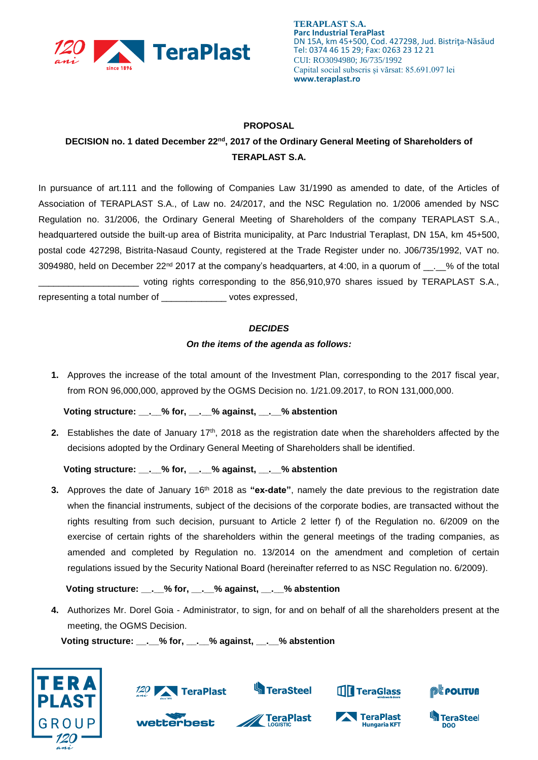

**TERAPLAST S.A. Parc Industrial TeraPlast** DN 15A, km 45+500, Cod. 427298, Jud. Bistriţa-Năsăud Tel: 0374 46 15 29; Fax: 0263 23 12 21 CUI: RO3094980; J6/735/1992 Capital social subscris și vărsat: 85.691.097 lei **www.teraplast.ro**

## **PROPOSAL**

## DECISION no. 1 dated December 22<sup>nd</sup>, 2017 of the Ordinary General Meeting of Shareholders of **TERAPLAST S.A.**

In pursuance of art.111 and the following of Companies Law 31/1990 as amended to date, of the Articles of Association of TERAPLAST S.A., of Law no. 24/2017, and the NSC Regulation no. 1/2006 amended by NSC Regulation no. 31/2006, the Ordinary General Meeting of Shareholders of the company TERAPLAST S.A., headquartered outside the built-up area of Bistrita municipality, at Parc Industrial Teraplast, DN 15A, km 45+500, postal code 427298, Bistrita-Nasaud County, registered at the Trade Register under no. J06/735/1992, VAT no. 3094980, held on December 22<sup>nd</sup> 2017 at the company's headquarters, at 4:00, in a quorum of <sub>\_\_\_</sub>. % of the total \_\_\_\_\_\_\_\_\_\_\_\_\_\_\_\_\_\_\_\_ voting rights corresponding to the 856,910,970 shares issued by TERAPLAST S.A., representing a total number of \_\_\_\_\_\_\_\_\_\_\_\_\_ votes expressed,

*DECIDES*

## *On the items of the agenda as follows:*

**1.** Approves the increase of the total amount of the Investment Plan, corresponding to the 2017 fiscal year, from RON 96,000,000, approved by the OGMS Decision no. 1/21.09.2017, to RON 131,000,000.

 **Voting structure: \_\_.\_\_% for, \_\_.\_\_% against, \_\_.\_\_% abstention**

**2.** Establishes the date of January 17<sup>th</sup>, 2018 as the registration date when the shareholders affected by the decisions adopted by the Ordinary General Meeting of Shareholders shall be identified.

 **Voting structure: \_\_.\_\_% for, \_\_.\_\_% against, \_\_.\_\_% abstention**

**3.** Approves the date of January 16<sup>th</sup> 2018 as "ex-date", namely the date previous to the registration date when the financial instruments, subject of the decisions of the corporate bodies, are transacted without the rights resulting from such decision, pursuant to Article 2 letter f) of the Regulation no. 6/2009 on the exercise of certain rights of the shareholders within the general meetings of the trading companies, as amended and completed by Regulation no. 13/2014 on the amendment and completion of certain regulations issued by the Security National Board (hereinafter referred to as NSC Regulation no. 6/2009).

 **Voting structure: \_\_.\_\_% for, \_\_.\_\_% against, \_\_.\_\_% abstention**

**4.** Authorizes Mr. Dorel Goia - Administrator, to sign, for and on behalf of all the shareholders present at the meeting, the OGMS Decision.

 **Voting structure: \_\_.\_\_% for, \_\_.\_\_% against, \_\_.\_\_% abstention**





**best** 



**TeraPlast** 



TeraPlast

**Hungaria KFT**